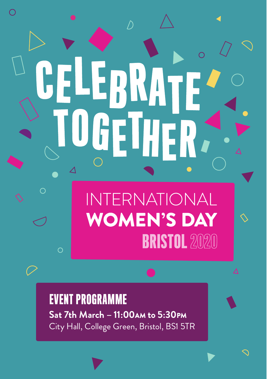# CELEBRATE ETHER **INTERNATIONAL WOMEN'S DAY BRISTOL 2020**  $\overline{O}$

**Sat 7th March – 11:00**AM **to 5:30**PM City Hall, College Green, Bristol, BS1 5TR EVENT PROGRAMME

 $\subset$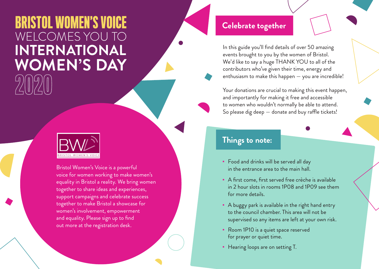# **BRISTOL WOMEN'S VOICE** WELCOMES YOU TO**INTERNATIONAL WOMEN'S DAY**



Bristol Women's Voice is a powerful voice for women working to make women's equality in Bristol a reality. We bring women together to share ideas and experiences, support campaigns and celebrate success together to make Bristol a showcase for women's involvement, empowerment and equality. Please sign up to find out more at the registration desk.

### **Celebrate together**

In this guide you'll find details of over 50 amazing events brought to you by the women of Bristol. We'd like to say a huge THANK YOU to all of the contributors who've given their time, energy and enthusiasm to make this happen — you are incredible!

Your donations are crucial to making this event happen, and importantly for making it free and accessible to women who wouldn't normally be able to attend. So please dig deep  $-$  donate and buy raffle tickets!

### **Things to note:**

- Food and drinks will be served all day in the entrance area to the main hall.
- A first come, first served free crèche is available in 2 hour slots in rooms 1P08 and 1P09 see them for more details.
- **•** A buggy park is available in the right hand entry to the council chamber. This area will not be supervised so any items are left at your own risk.
- Room 1P10 is a quiet space reserved for prayer or quiet time.
- **Hearing loops are on setting T.**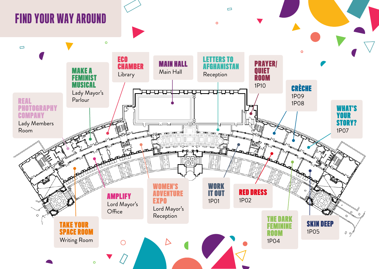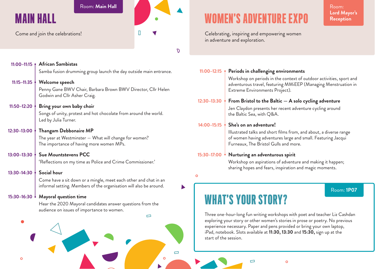#### Room: Main Hall Room: Room: Room: Room: Room: Room: Room: Room: Room: Room: Room: Room: Room: Room: Room: Room:

### MAIN HALL

Come and join the celebrations!

 $\overline{D}$ 

 $\mathbf{D}$ 

|                      | 11:00-11:15   African Sambistas                                                                                                        |                    |
|----------------------|----------------------------------------------------------------------------------------------------------------------------------------|--------------------|
|                      | Samba fusion drumming group launch the day outside main entrance.                                                                      | <b>11:00</b>       |
| $11:15 - 11:35$      | Welcome speech                                                                                                                         |                    |
|                      | Penny Gane BWV Chair, Barbara Brown BWV Director, Cllr Helen<br>Godwin and Cllr Asher Craig.                                           |                    |
| 11:50-12:20 $\big\}$ | Bring your own baby choir                                                                                                              | 12:30              |
|                      | Songs of unity, protest and hot chocolate from around the world.<br>Led by Julia Turner.                                               |                    |
| 12:30-13:00          | <b>Thangam Debbonaire MP</b>                                                                                                           | 14:00              |
|                      | The year at Westminster - What will change for women?<br>The importance of having more women MPs.                                      |                    |
| $13:00 - 13:30$      | Sue Mountstevens PCC                                                                                                                   | 15:30 <sup>3</sup> |
|                      | 'Reflections on my time as Police and Crime Commissioner.'                                                                             |                    |
| 13:30-14:30          | Social hour                                                                                                                            |                    |
|                      | Come have a sit down or a mingle, meet each other and chat in an<br>informal setting. Members of the organisation will also be around. |                    |
|                      | 15:30-16:30 Mayoral question time                                                                                                      |                    |
|                      | Hear the 2020 Mayoral candidates answer questions from the<br>audience on issues of importance to women.                               |                    |
|                      |                                                                                                                                        | Τh                 |
|                      |                                                                                                                                        | ex                 |

# WOMEN'S ADVENTURE EXPO

**Lord Mayor's Reception**

Celebrating, inspiring and empowering women in adventure and exploration.

| 11:00-12:15 $\gamma$ | Periods in challenging environments                                                                                                                                         |  |  |
|----------------------|-----------------------------------------------------------------------------------------------------------------------------------------------------------------------------|--|--|
|                      | Workshop on periods in the context of outdoor activities, sport and<br>adventurous travel, featuring MMiEEP (Managing Menstruation in<br>Extreme Environments Project).     |  |  |
|                      | 12:30-13:30 From Bristol to the Baltic $-$ A solo cycling adventure                                                                                                         |  |  |
|                      | Jen Claydon presents her recent adventure cycling around<br>the Baltic Sea, with Q&A.                                                                                       |  |  |
|                      | 14:00-15:15 She's on an adventure!                                                                                                                                          |  |  |
|                      | Illustrated talks and short films from, and about, a diverse range<br>of women having adventures large and small. Featuring Jacqui<br>Furneaux, The Bristol Gulls and more. |  |  |
| 15:30-17:00          | Nurturing an adventurous spirit                                                                                                                                             |  |  |
|                      | Workshop on aspirations of adventure and making it happen;<br>sharing hopes and fears, inspiration and magic moments.                                                       |  |  |
|                      |                                                                                                                                                                             |  |  |

Room: **1P07**

# WHAT'S YOUR STORY?

 $\Box$ 

Three one-hour-long fun writing workshops with poet and teacher Liz Cashdan exploring your story or other women's stories in prose or poetry. No previous experience necessary. Paper and pens provided or bring your own laptop, iPad, notebook. Slots available at **11:30, 13:30** and **15:30,** sign up at the start of the session.

 $\Box$ 

 $\bullet$ 

 $\overline{O}$ 

 $\circ$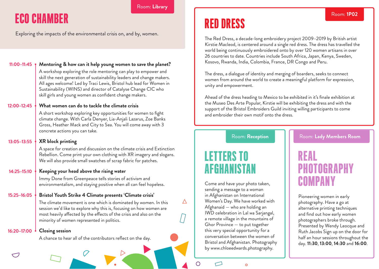### Room: **Library**

### ECO CHAMBER

Exploring the impacts of the environmental crisis on, and by, women.

| 11:00-11:45 $\uparrow$ | Mentoring & how can it help young women to save the planet?<br>A workshop exploring the role mentoring can play to empower and<br>skill the next generation of sustainability leaders and change makers.<br>All ages welcome! Led by Traci Lewis, Bristol hub lead for Women in<br>Sustainability (WINS) and director of Catalyse Change CIC who<br>skill girls and young women as confident change makers. |
|------------------------|-------------------------------------------------------------------------------------------------------------------------------------------------------------------------------------------------------------------------------------------------------------------------------------------------------------------------------------------------------------------------------------------------------------|
| 12:00-12:45            | What women can do to tackle the climate crisis                                                                                                                                                                                                                                                                                                                                                              |
|                        | A short workshop exploring key opportunities for women to fight<br>climate change. With Carla Denyer, Lia-Anjali Lazarus, Zoe Banks<br>Gross, Heather Mack and City to Sea. You will come away with 3<br>concrete actions you can take.                                                                                                                                                                     |
| $13:05 - 13:55$        | <b>XR</b> block printing                                                                                                                                                                                                                                                                                                                                                                                    |
|                        | A space for creation and discussion on the climate crisis and Extinction<br>Rebellion. Come print your own clothing with XR imagery and slogans.<br>We will also provide small swatches of scrap fabric for patches.                                                                                                                                                                                        |
| $14:25 - 15:10$        | Keeping your head above the rising water                                                                                                                                                                                                                                                                                                                                                                    |
|                        | Immy Done from Greenpeace tells stories of activism and<br>environmentalism, and staying positive when all can feel hopeless.                                                                                                                                                                                                                                                                               |
| 15:25-16:05            | Bristol Youth Strike 4 Climate presents 'Climate crisis'                                                                                                                                                                                                                                                                                                                                                    |
|                        | The climate movement is one which is dominated by women. In this<br>session we'd like to explore why this is, focusing on how women are<br>most heavily affected by the effects of the crisis and also on the<br>minority of women represented in politics.                                                                                                                                                 |
| 16:20-17:00            | <b>Closing session</b>                                                                                                                                                                                                                                                                                                                                                                                      |
|                        | A chance to hear all of the contributors reflect on the day.                                                                                                                                                                                                                                                                                                                                                |

## RED DRESS

The Red Dress, a decade-long embroidery project 2009–2019 by British artist Kirstie Macleod, is centered around a single red dress. The dress has travelled the world being continuously embroidered onto by over 120 women artisans in over 26 countries to date. Countries include South Africa, Japan, Kenya, Sweden, Kosovo, Rwanda, India, Colombia, France, DR Congo and Peru.

The dress, a dialogue of identity and merging of boarders, seeks to connect women from around the world to create a meaningful platform for expression, unity and empowerment.

Ahead of the dress heading to Mexico to be exhibited in it's finale exhibition at the Museo Des Arte Popular, Kirstie will be exhibiting the dress and with the support of the Bristol Embroiders Guild inviting willing participants to come and embroider their own motif onto the dress.

Room: **Reception**

### LETTERS TO AFGHANIST

Come and have your photo taken, sending a message to a woman in Afghanistan on International Women's Day. We have worked with Afghanaid — who are holding an IWD celebration in Lal wa Sarjangal, a remote village in the mountains of Ghor Province — to put together this very special opportunity for a conversation between the women of Bristol and Afghanistan. Photography by www.chloeedwards.photography.

Room: **Lady Members Room**

Room: **1P02**

### REAL PHOTOGRAPHY COMP

Pioneering women in early photography. Have a go at alternative printing techniques and find out how early women photographers broke through. Presented by Wendy Leocque and Ruth Jacobs Sign up on the door for half an hour sessions throughout the day. **11:30**, **13:00**, **14:30** and **16:00**.

 $\circ$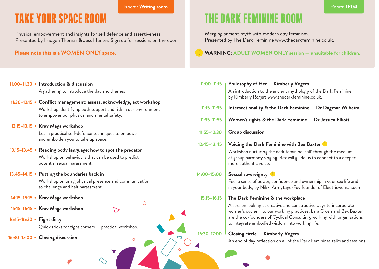#### Room: **Writing room**

### TAKE YOUR SPACE ROOM

Physical empowerment and insights for self defence and assertiveness Presented by Imogen Thomas & Jess Hunter. Sign up for sessions on the door.

### **Please note this is a WOMEN ONLY space.**

### THE DARK FEMININE ROOM

Merging ancient myth with modern day feminism. Presented by The Dark Feminine www.thedarkfeminine.co.uk.

### **WARNING: ADULT WOMEN ONLY session — unsuitable for children.**

| $11:00 - 11:30$ | Introduction & discussion                                                                                   | $11:00 - 11:15$ | Philosophy of Her - Kimberly Rogers                                                                                                           |
|-----------------|-------------------------------------------------------------------------------------------------------------|-----------------|-----------------------------------------------------------------------------------------------------------------------------------------------|
|                 | A gathering to introduce the day and themes                                                                 |                 | An introduction to the ancient mythology of the Dark Feminine<br>by Kimberly Rogers www.thedarkfeminine.co.uk.                                |
| $11:30 - 12:15$ | Conflict management: assess, acknowledge, act workshop                                                      |                 |                                                                                                                                               |
|                 | Workshop identifying both support and risk in our environment<br>to empower our physical and mental safety. | $11:15 - 11:35$ | Intersectionality & the Dark Feminine - Dr Dagmar Wilheim                                                                                     |
|                 |                                                                                                             | $11:35 - 11:55$ | Women's rights & the Dark Feminine - Dr Jessica Elliott                                                                                       |
| $12:15 - 13:15$ | Krav Maga workshop                                                                                          |                 |                                                                                                                                               |
|                 | Learn practical self-defence techniques to empower<br>and embolden you to take up space.                    | $11:55 - 12:30$ | <b>Group discussion</b>                                                                                                                       |
|                 |                                                                                                             | $12:45 - 13:45$ | Voicing the Dark Feminine with Bex Baxter                                                                                                     |
| $13:15 - 13:45$ | Reading body language; how to spot the predator<br>Workshop on behaviours that can be used to predict       |                 | Workshop nurturing the dark feminine 'call' through the medium<br>of group harmony singing. Bex will guide us to connect to a deeper          |
|                 | potential sexual harassment.                                                                                |                 | more authentic voice.                                                                                                                         |
| $13:45 - 14:15$ | Putting the boundaries back in                                                                              | 14:00-15:00     | Sexual sovereignty                                                                                                                            |
|                 | Workshop on using physical presence and communication<br>to challenge and halt harassment.                  |                 | Feel a sense of power, confidence and ownership in your sex life and<br>in your body, by Nikki Armytage-Foy founder of Electricwoman.com.     |
| $14:15 - 15:15$ | Krav Maga workshop                                                                                          | $15:15 - 16:15$ | The Dark Feminine & the workplace                                                                                                             |
| $15:15 - 16:15$ | Krav Maga workshop                                                                                          |                 | A session looking at creative and constructive ways to incorporate                                                                            |
|                 |                                                                                                             |                 | women's cycles into our working practices. Lara Owen and Bex Baxter<br>are the co-founders of Cyclical Consulting, working with organisations |
| 16:15-16:30     | Fight dirty                                                                                                 |                 | to integrate embodied wisdom into working life.                                                                                               |
|                 | Quick tricks for tight corners - practical workshop.                                                        |                 |                                                                                                                                               |
| 16:30-17:00     | <b>Closing discussion</b><br>▭                                                                              | 16:30-17:00     | Closing circle - Kimberly Rogers                                                                                                              |
|                 |                                                                                                             |                 | An end of day reflection on all of the Dark Feminines talks and sessions                                                                      |
|                 | $\Omega$                                                                                                    |                 |                                                                                                                                               |
|                 | $\circ$                                                                                                     |                 |                                                                                                                                               |

**Contract Contract** 

**The State State**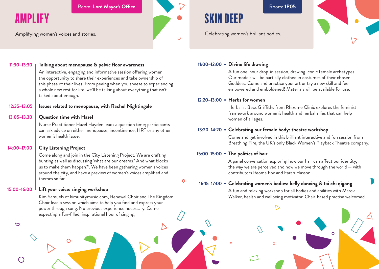Room: Lord Mayor's Office **Room: 1P05** 

Amplifying women's voices and stories.

AMPLIFY



SKIN DEEP

Celebrating women's brilliant bodies.



| $11:30 - 13:30$                                  | Talking about menopause & pelvic floor awareness                                                                                                                                                                                                                                                                 | 11:00-12:00 $\uparrow$ | Divine life drawing                                                                                                                                                                                                                                                        |
|--------------------------------------------------|------------------------------------------------------------------------------------------------------------------------------------------------------------------------------------------------------------------------------------------------------------------------------------------------------------------|------------------------|----------------------------------------------------------------------------------------------------------------------------------------------------------------------------------------------------------------------------------------------------------------------------|
|                                                  | An interactive, engaging and informative session offering women<br>the opportunity to share their experiences and take ownership of<br>this phase of their lives. From peeing when you sneeze to experiencing<br>a whole new zest for life, we'll be talking about everything that isn't<br>talked about enough. |                        | A fun one-hour drop-in session, drawing iconic female archetypes.<br>Our models will be partially clothed in costumes of their chosen<br>Goddess. Come and practice your art or try a new skill and feel<br>empowered and emboldened! Materials will be available for use. |
|                                                  |                                                                                                                                                                                                                                                                                                                  | 12:20-13:00            | Herbs for women                                                                                                                                                                                                                                                            |
| 12:35-13:05                                      | Issues related to menopause, with Rachel Nightingale                                                                                                                                                                                                                                                             |                        | Herbalist Becs Griffiths from Rhizome Clinic explores the feminist                                                                                                                                                                                                         |
| 13:05-13:30                                      | Question time with Hazel                                                                                                                                                                                                                                                                                         |                        | framework around women's health and herbal allies that can help<br>women of all ages.                                                                                                                                                                                      |
|                                                  | Nurse Practitioner Hazel Hayden leads a question time; participants<br>can ask advice on either menopause, incontinence, HRT or any other                                                                                                                                                                        | 13:20-14:20            | Celebrating our female body: theatre workshop                                                                                                                                                                                                                              |
|                                                  | women's health issue.                                                                                                                                                                                                                                                                                            |                        | Come and get involved in this brilliant interactive and fun session from<br>Breathing Fire, the UK's only Black Women's Playback Theatre company.                                                                                                                          |
| 14:00-17:00                                      | <b>City Listening Project</b>                                                                                                                                                                                                                                                                                    |                        |                                                                                                                                                                                                                                                                            |
|                                                  | Come along and join in the City Listening Project. We are crafting                                                                                                                                                                                                                                               | 15:00-15:00            | The politics of hair                                                                                                                                                                                                                                                       |
|                                                  | bunting as well as discussing 'what are our dreams? And what blocks<br>us to make them happen?'. We have been gathering women's voices<br>around the city, and have a preview of women's voices amplified and                                                                                                    |                        | A panel conversation exploring how our hair can affect our identity,<br>the way we are perceived and how we move through the world $-$ with<br>contributors Ifeoma Fox and Farah Hasson.                                                                                   |
|                                                  | themes so far.<br>$\mathbf{\circ}$                                                                                                                                                                                                                                                                               |                        | 16:15-17:00 Celebrating women's bodies: belly dancing & tai chi qigong                                                                                                                                                                                                     |
| 15:00-16:00<br>Lift your voice: singing workshop |                                                                                                                                                                                                                                                                                                                  |                        | A fun and relaxing workshop for all bodies and abilities with Marcia                                                                                                                                                                                                       |
|                                                  | Kim Samuels of kimunitymusic.com, Renewal Choir and The Kingdom                                                                                                                                                                                                                                                  |                        | Walker, health and wellbeing motivator. Chair-based practise welcomed.                                                                                                                                                                                                     |
|                                                  | Choir lead a session which aims to help you find and express your<br>power through song. No previous experience necessary. Come<br>expecting a fun-filled, inspirational hour of singing.                                                                                                                        |                        |                                                                                                                                                                                                                                                                            |
| $\triangleright$                                 |                                                                                                                                                                                                                                                                                                                  |                        |                                                                                                                                                                                                                                                                            |
|                                                  |                                                                                                                                                                                                                                                                                                                  |                        |                                                                                                                                                                                                                                                                            |
|                                                  |                                                                                                                                                                                                                                                                                                                  |                        |                                                                                                                                                                                                                                                                            |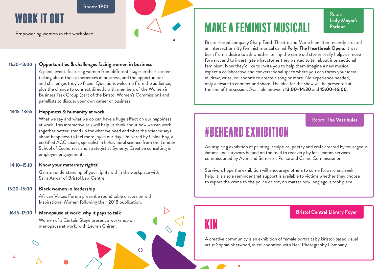#### Room: **1P01**

### WORK IT OUT

Empowering women in the workplace.

#### **Opportunities & challenges facing women in business 11:30–13:00**

A panel event, featuring women from diferent stages in their careers talking about their experiences in business, and the opportunities and challenges they've faced. Questions welcome from the audience, plus the chance to connect directly with members of the Women in Business Task Group (part of the Bristol Women's Commission) and panellists to discuss your own career or business.

#### **Happiness & humanity at work 13:15–13:55**

What we say and what we do can have a huge effect on our happiness at work. This interactive talk will help us think about how we can work together better, stand up for what we need and what the science says about happiness to feel more joy in our day. Delivered by Chloe Foy, a certified ACC coach, specialist in behavioural science from the London School of Economics and strategist at Synergy Creative consulting in employee engagement.

#### **Know your maternity rights! 14:10–15:10**

Gain an understanding of your rights within the workplace with Saira Anwar of Bristol Law Centre.

#### **Black women in leadership 15:20–16:00**

African Voices Forum present a round table discussion with Inspirational Women following their 2018 publication.

 $\bigcap$ 

#### **Menopause at work: why it pays to talk 16:15–17:00**

Women of a Certain Stage present a workshop on menopause at work, with Lauren Chiren.

### **MAKE A FEMINIST MUSICAL!** Parlour

Room: **Lady Mayor's**

Bristol-based company Sharp Teeth Theatre and Marie Hamilton recently created an intersectionality feminist musical called **Polly: The Heartbreak Opera**. It was born from a desire to ask whether telling the same old stories really helps us move forward, and to investigate what stories they wanted to tell about intersectional feminism. Now they'd like to invite you to help them imagine a new musical, expect a collaborative and conversational space where you can throw your ideas in, draw, write, collaborate to create a song or more. No experience needed, only a desire to connect and share. The idea for the show will be presented at the end of the session. Available between **13:00–14:30** and **15:00–16:00**.

### Room: **The Vestibules**

### #BEHEARD EXHIBITION

An inspiring exhibition of painting, sculpture, poetry and craft created by courageous victims and survivors helped on the road to recovery by local victim services commissioned by Avon and Somerset Police and Crime Commissioner.

Survivors hope the exhibition will encourage others to come forward and seek help. It is also a reminder that support is available to victims whether they choose to report the crime to the police or not, no matter how long ago it took place.

# KIN

**Bristol Central Library Foyer**

A creative community is an exhibition of female portraits by Bristol-based visual artist Sophie Sherwood, in collaboration with Real Photography Company.

 $\circ$